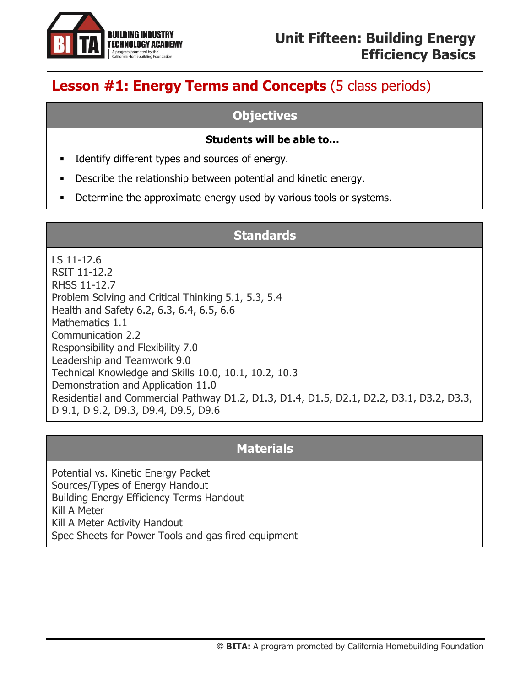

# **Lesson #1: Energy Terms and Concepts** (5 class periods)

#### **Objectives**

#### **Students will be able to…**

- **■** Identify different types and sources of energy.
- Describe the relationship between potential and kinetic energy.
- **•** Determine the approximate energy used by various tools or systems.

#### **Standards**

LS 11-12.6 RSIT 11-12.2 RHSS 11-12.7 Problem Solving and Critical Thinking 5.1, 5.3, 5.4 Health and Safety 6.2, 6.3, 6.4, 6.5, 6.6 Mathematics 1.1 Communication 2.2 Responsibility and Flexibility 7.0 Leadership and Teamwork 9.0 Technical Knowledge and Skills 10.0, 10.1, 10.2, 10.3 Demonstration and Application 11.0 Residential and Commercial Pathway D1.2, D1.3, D1.4, D1.5, D2.1, D2.2, D3.1, D3.2, D3.3, D 9.1, D 9.2, D9.3, D9.4, D9.5, D9.6

## **Materials**

Potential vs. Kinetic Energy Packet Sources/Types of Energy Handout Building Energy Efficiency Terms Handout Kill A Meter Kill A Meter Activity Handout Spec Sheets for Power Tools and gas fired equipment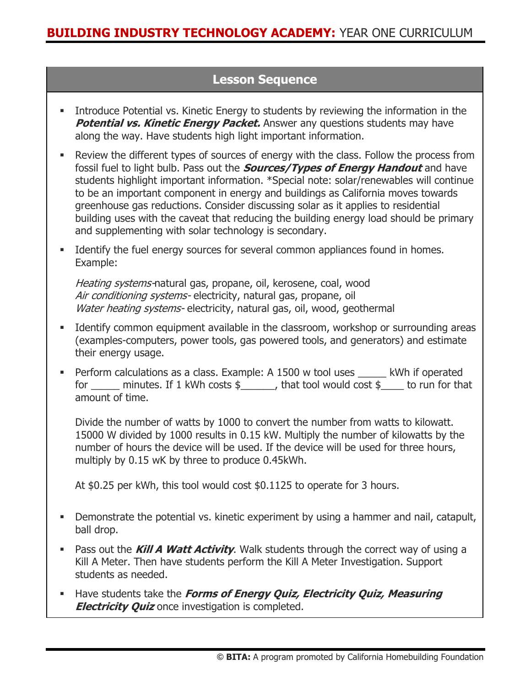### **Lesson Sequence**

- **•** Introduce Potential vs. Kinetic Energy to students by reviewing the information in the **Potential vs. Kinetic Energy Packet.** Answer any questions students may have along the way. Have students high light important information.
- Review the different types of sources of energy with the class. Follow the process from fossil fuel to light bulb. Pass out the **Sources/Types of Energy Handout** and have students highlight important information. \*Special note: solar/renewables will continue to be an important component in energy and buildings as California moves towards greenhouse gas reductions. Consider discussing solar as it applies to residential building uses with the caveat that reducing the building energy load should be primary and supplementing with solar technology is secondary.
- **■** Identify the fuel energy sources for several common appliances found in homes. Example:

Heating systems-natural gas, propane, oil, kerosene, coal, wood Air conditioning systems- electricity, natural gas, propane, oil Water heating systems- electricity, natural gas, oil, wood, geothermal

- **■** Identify common equipment available in the classroom, workshop or surrounding areas (examples-computers, power tools, gas powered tools, and generators) and estimate their energy usage.
- **•** Perform calculations as a class. Example: A 1500 w tool uses \_\_\_\_\_ kWh if operated for \_\_\_\_\_ minutes. If 1 kWh costs \$\_\_\_\_\_\_, that tool would cost \$\_\_\_\_ to run for that amount of time.

Divide the number of watts by 1000 to convert the number from watts to kilowatt. 15000 W divided by 1000 results in 0.15 kW. Multiply the number of kilowatts by the number of hours the device will be used. If the device will be used for three hours, multiply by 0.15 wK by three to produce 0.45kWh.

At \$0.25 per kWh, this tool would cost \$0.1125 to operate for 3 hours.

- **•** Demonstrate the potential vs. kinetic experiment by using a hammer and nail, catapult, ball drop.
- **EXT** Pass out the **Kill A Watt Activity**. Walk students through the correct way of using a Kill A Meter. Then have students perform the Kill A Meter Investigation. Support students as needed.
- **EXTERS** Have students take the *Forms of Energy Quiz, Electricity Quiz, Measuring* **Electricity Quiz** once investigation is completed.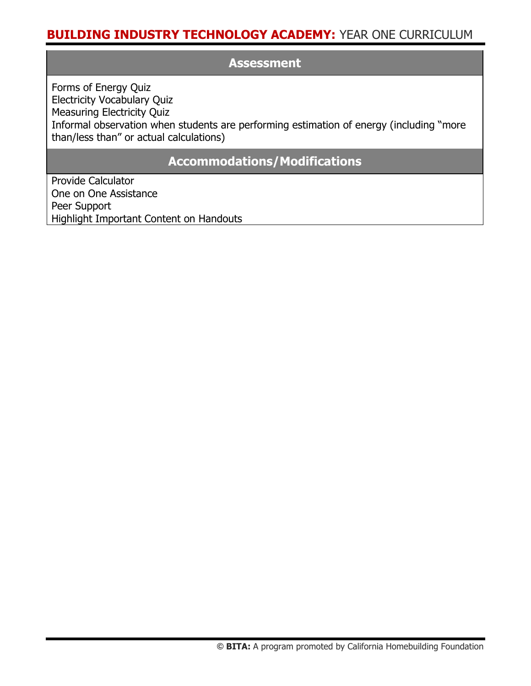#### **Assessment**

Forms of Energy Quiz Electricity Vocabulary Quiz Measuring Electricity Quiz Informal observation when students are performing estimation of energy (including "more than/less than" or actual calculations)

#### **Accommodations/Modifications**

Provide Calculator One on One Assistance Peer Support Highlight Important Content on Handouts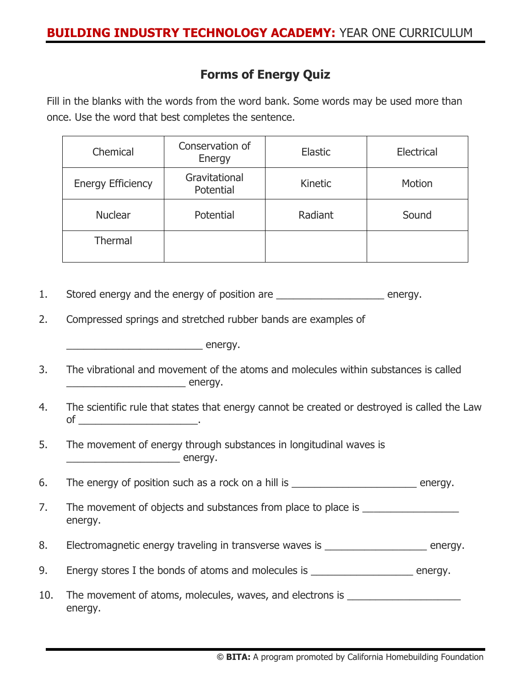### **Forms of Energy Quiz**

Fill in the blanks with the words from the word bank. Some words may be used more than once. Use the word that best completes the sentence.

| Chemical                 | Conservation of<br>Energy  | <b>Elastic</b> | <b>Electrical</b> |  |  |
|--------------------------|----------------------------|----------------|-------------------|--|--|
| <b>Energy Efficiency</b> | Gravitational<br>Potential | Kinetic        | Motion            |  |  |
| <b>Nuclear</b>           | Potential                  | Radiant        | Sound             |  |  |
| Thermal                  |                            |                |                   |  |  |

1. Stored energy and the energy of position are \_\_\_\_\_\_\_\_\_\_\_\_\_\_\_\_\_\_\_\_\_\_\_\_ energy.

2. Compressed springs and stretched rubber bands are examples of

 $\overline{\phantom{a}}$  energy.

- 3. The vibrational and movement of the atoms and molecules within substances is called \_\_\_\_\_\_\_\_\_\_\_\_\_\_\_\_\_\_\_\_\_\_\_\_\_\_\_\_\_\_\_\_\_ energy.
- 4. The scientific rule that states that energy cannot be created or destroyed is called the Law of \_\_\_\_\_\_\_\_\_\_\_\_\_\_\_\_\_\_\_\_\_.
- 5. The movement of energy through substances in longitudinal waves is \_\_\_\_\_\_\_\_\_\_\_\_\_\_\_\_\_\_\_\_ energy.

6. The energy of position such as a rock on a hill is **Example 20** energy.

- 7. The movement of objects and substances from place to place is energy.
- 8. Electromagnetic energy traveling in transverse waves is \_\_\_\_\_\_\_\_\_\_\_\_\_\_\_\_\_\_\_\_\_ energy.
- 9. Energy stores I the bonds of atoms and molecules is \_\_\_\_\_\_\_\_\_\_\_\_\_\_\_\_\_\_\_\_ energy.
- 10. The movement of atoms, molecules, waves, and electrons is \_\_\_\_\_\_\_\_\_\_\_\_\_\_\_\_\_\_ energy.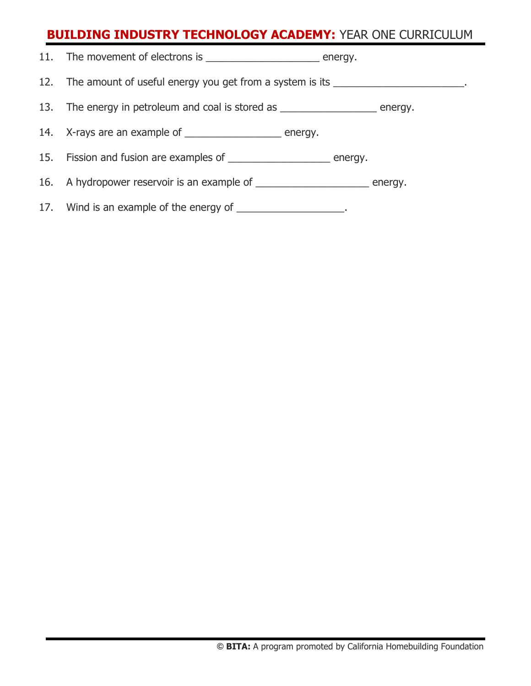| 11. The movement of electrons is<br>energy.                  |         |
|--------------------------------------------------------------|---------|
| 12. The amount of useful energy you get from a system is its |         |
| 13. The energy in petroleum and coal is stored as            | energy. |

14. X-rays are an example of \_\_\_\_\_\_\_\_\_\_\_\_\_\_\_\_\_\_\_\_ energy.

15. Fission and fusion are examples of \_\_\_\_\_\_\_\_\_\_\_\_\_\_\_\_\_\_\_\_\_\_ energy.

16. A hydropower reservoir is an example of \_\_\_\_\_\_\_\_\_\_\_\_\_\_\_\_\_\_\_\_\_ energy.

17. Wind is an example of the energy of \_\_\_\_\_\_\_\_\_\_\_\_\_\_\_\_\_\_\_\_.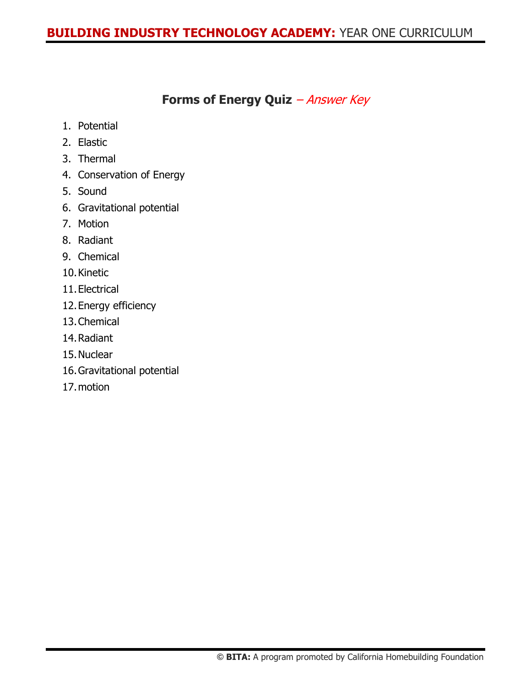### **Forms of Energy Quiz** – Answer Key

- 1. Potential
- 2. Elastic
- 3. Thermal
- 4. Conservation of Energy
- 5. Sound
- 6. Gravitational potential
- 7. Motion
- 8. Radiant
- 9. Chemical
- 10.Kinetic
- 11.Electrical
- 12.Energy efficiency
- 13.Chemical
- 14.Radiant
- 15.Nuclear
- 16.Gravitational potential
- 17.motion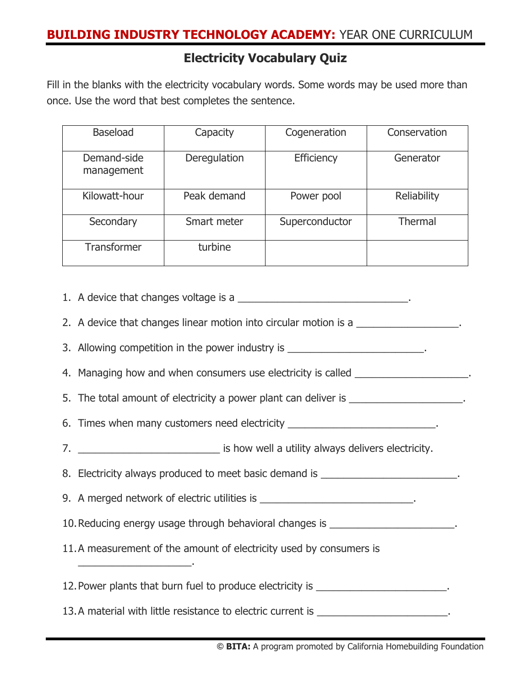#### **Electricity Vocabulary Quiz**

Fill in the blanks with the electricity vocabulary words. Some words may be used more than once. Use the word that best completes the sentence.

| <b>Baseload</b>           | Capacity     | Cogeneration   | Conservation   |  |  |
|---------------------------|--------------|----------------|----------------|--|--|
| Demand-side<br>management | Deregulation | Efficiency     | Generator      |  |  |
| Kilowatt-hour             | Peak demand  | Power pool     | Reliability    |  |  |
| Secondary                 | Smart meter  | Superconductor | <b>Thermal</b> |  |  |
| <b>Transformer</b>        | turbine      |                |                |  |  |

1. A device that changes voltage is a \_\_\_\_\_\_\_\_\_\_\_\_\_\_\_\_\_\_\_\_\_\_\_\_\_\_\_\_\_\_\_\_\_.

2. A device that changes linear motion into circular motion is a \_\_\_\_\_\_\_\_\_\_\_\_\_\_\_\_

- 3. Allowing competition in the power industry is
- 4. Managing how and when consumers use electricity is called \_\_\_\_\_\_\_\_\_\_\_\_\_\_\_\_\_\_\_.

5. The total amount of electricity a power plant can deliver is

- 6. Times when many customers need electricity \_\_\_\_\_\_\_\_\_\_\_\_\_\_\_\_\_\_\_\_\_\_\_\_\_\_\_\_.
- 7. **The contract of the state of the state of the state of the state of the state of the state of the state of the state of the state of the state of the state of the state of the state of the state of the state of the sta**

8. Electricity always produced to meet basic demand is

9. A merged network of electric utilities is \_\_\_\_\_\_\_\_\_\_\_\_\_\_\_\_\_\_\_\_\_\_\_\_\_\_\_\_.

10. Reducing energy usage through behavioral changes is \_\_\_\_\_\_\_\_\_\_\_\_\_\_\_\_\_\_\_\_\_\_\_\_.

11.A measurement of the amount of electricity used by consumers is

\_\_\_\_\_\_\_\_\_\_\_\_\_\_\_\_\_\_\_\_.

12. Power plants that burn fuel to produce electricity is

13.A material with little resistance to electric current is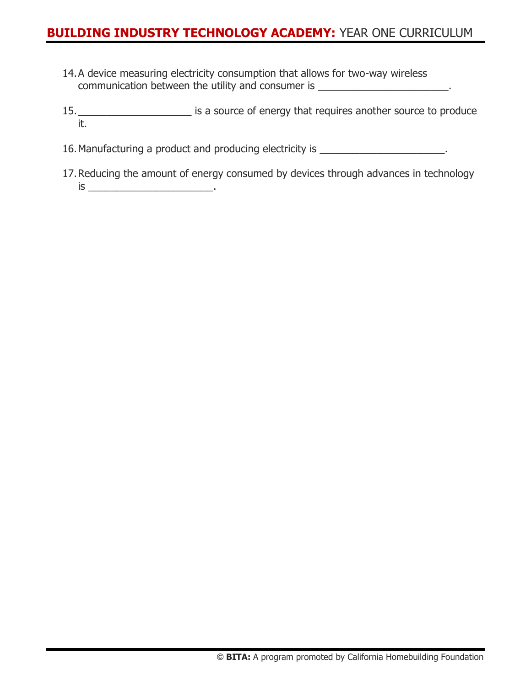- 14.A device measuring electricity consumption that allows for two-way wireless communication between the utility and consumer is \_\_\_\_\_\_\_\_\_\_\_\_\_\_\_\_\_\_\_\_\_\_\_.
- 15.\_\_\_\_\_\_\_\_\_\_\_\_\_\_\_\_\_\_\_\_ is a source of energy that requires another source to produce it.
- 16. Manufacturing a product and producing electricity is \_\_\_\_\_\_\_\_\_\_\_\_\_\_\_\_\_\_\_\_\_\_\_.
- 17.Reducing the amount of energy consumed by devices through advances in technology is \_\_\_\_\_\_\_\_\_\_\_\_\_\_\_\_\_\_\_\_\_\_.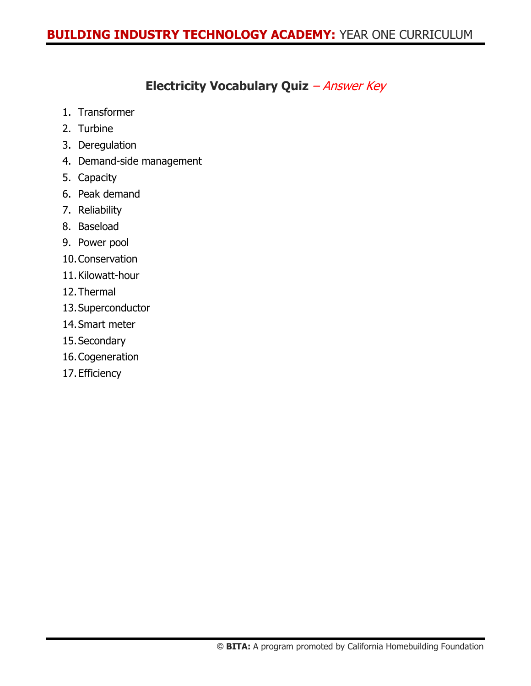### **Electricity Vocabulary Quiz** – Answer Key

- 1. Transformer
- 2. Turbine
- 3. Deregulation
- 4. Demand-side management
- 5. Capacity
- 6. Peak demand
- 7. Reliability
- 8. Baseload
- 9. Power pool
- 10.Conservation
- 11.Kilowatt-hour
- 12.Thermal
- 13.Superconductor
- 14.Smart meter
- 15.Secondary
- 16.Cogeneration
- 17.Efficiency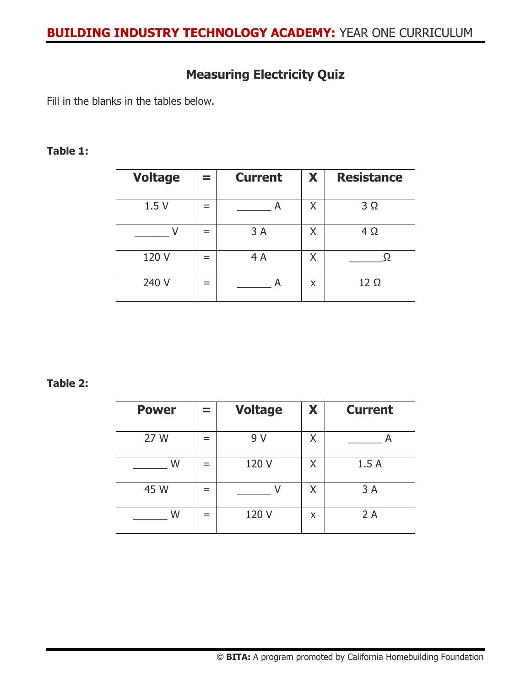## **Measuring Electricity Quiz**

Fill in the blanks in the tables below.

#### **Table 1:**

| <b>Voltage</b> |   | <b>Current</b> | X | <b>Resistance</b> |
|----------------|---|----------------|---|-------------------|
| 1.5V           | = |                | Χ | $3\Omega$         |
|                | = | 3A             |   | 4 Ω               |
| 120 V          | = | 4 A            |   |                   |
| 240 V          | = |                | x | $12 \Omega$       |

#### **Table 2:**

| <b>Power</b> |     | <b>Voltage</b> | X | <b>Current</b> |
|--------------|-----|----------------|---|----------------|
| 27 W         | $=$ | 9 V            | Χ |                |
| W            | $=$ | 120 V          | Χ | 1.5A           |
| 45 W         | =   |                | Χ | 3A             |
| W            |     | 120 V          | X | 2A             |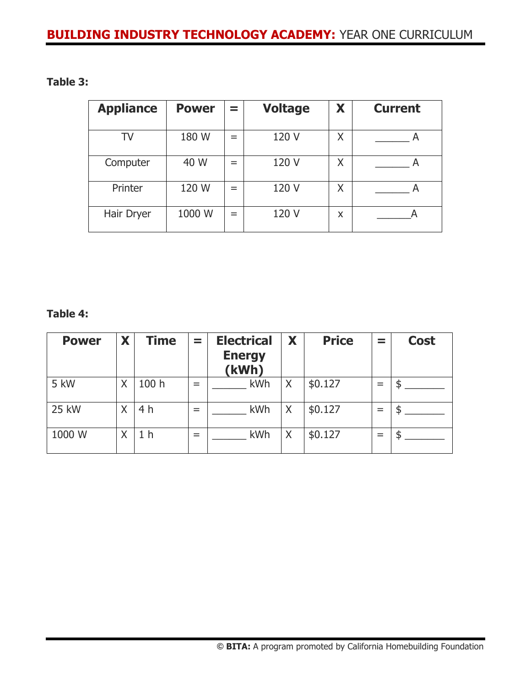#### **Table 3:**

| <b>Appliance</b> | <b>Power</b> | -<br>= | <b>Voltage</b> | X | <b>Current</b> |
|------------------|--------------|--------|----------------|---|----------------|
| TV               | 180 W        | $=$    | 120 V          | Χ |                |
| Computer         | 40 W         | $=$    | 120 V          | Χ | A              |
| Printer          | 120 W        | $=$    | 120 V          | Χ |                |
| Hair Dryer       | 1000 W       | -      | 120 V          | X |                |

#### **Table 4:**

| <b>Power</b> | X | Time  | $\equiv$ | <b>Electrical</b><br><b>Energy</b><br>(kWh) | X | <b>Price</b> | $\equiv$ | <b>Cost</b> |
|--------------|---|-------|----------|---------------------------------------------|---|--------------|----------|-------------|
| 5 kW         | Χ | 100 h | $=$      | <b>kWh</b>                                  | X | \$0.127      |          |             |
| <b>25 kW</b> | Χ | 4 h   | $=$      | kWh                                         | X | \$0.127      | $=$      |             |
| 1000 W       | Χ | h     | $=$      | kWh                                         | X | \$0.127      | $=$      |             |